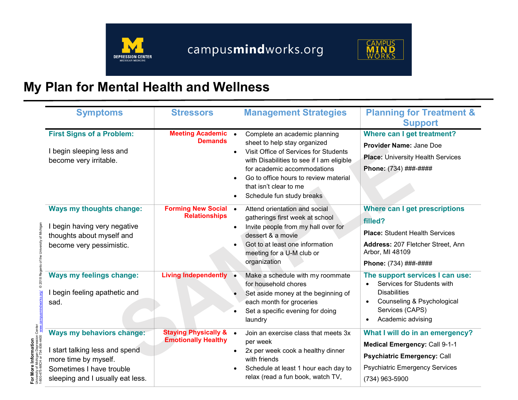



## **My Plan for Mental Health and Wellness**

| <b>Symptoms</b>                                                                                                                                            | <b>Stressors</b>                                              | <b>Management Strategies</b>                                                                                                                                                                                                                                                       | <b>Planning for Treatment &amp;</b><br><b>Support</b>                                                                                                                                |
|------------------------------------------------------------------------------------------------------------------------------------------------------------|---------------------------------------------------------------|------------------------------------------------------------------------------------------------------------------------------------------------------------------------------------------------------------------------------------------------------------------------------------|--------------------------------------------------------------------------------------------------------------------------------------------------------------------------------------|
| <b>First Signs of a Problem:</b><br>I begin sleeping less and<br>become very irritable.                                                                    | <b>Meeting Academic</b> •<br><b>Demands</b>                   | Complete an academic planning<br>sheet to help stay organized<br>Visit Office of Services for Students<br>with Disabilities to see if I am eligible<br>for academic accommodations<br>Go to office hours to review material<br>that isn't clear to me<br>Schedule fun study breaks | Where can I get treatment?<br>Provider Name: Jane Doe<br><b>Place: University Health Services</b><br>Phone: (734) ###-####                                                           |
| Ways my thoughts change:<br>I begin having very negative<br>thoughts about myself and<br>become very pessimistic.                                          | <b>Forming New Social •</b><br><b>Relationships</b>           | Attend orientation and social<br>gatherings first week at school<br>Invite people from my hall over for<br>dessert & a movie<br>Got to at least one information<br>meeting for a U-M club or<br>organization                                                                       | Where can I get prescriptions<br>filled?<br><b>Place: Student Health Services</b><br>Address: 207 Fletcher Street, Ann<br>Arbor, MI 48109<br>Phone: (734) ###-####                   |
| <b>Ways my feelings change:</b><br>I begin feeling apathetic and<br>sad.                                                                                   | <b>Living Independently •</b>                                 | Make a schedule with my roommate<br>for household chores<br>Set aside money at the beginning of<br>each month for groceries<br>Set a specific evening for doing<br>laundry                                                                                                         | The support services I can use:<br>Services for Students with<br><b>Disabilities</b><br>Counseling & Psychological<br>$\bullet$<br>Services (CAPS)<br>Academic advising<br>$\bullet$ |
| <b>Ways my behaviors change:</b><br>I start talking less and spend<br>more time by myself.<br>Sometimes I have trouble<br>sleeping and I usually eat less. | <b>Staying Physically &amp;</b><br><b>Emotionally Healthy</b> | Join an exercise class that meets 3x<br>$\bullet$<br>per week<br>2x per week cook a healthy dinner<br>with friends<br>Schedule at least 1 hour each day to<br>relax (read a fun book, watch TV,                                                                                    | What I will do in an emergency?<br><b>Medical Emergency: Call 9-1-1</b><br><b>Psychiatric Emergency: Call</b><br><b>Psychiatric Emergency Services</b><br>(734) 963-5900             |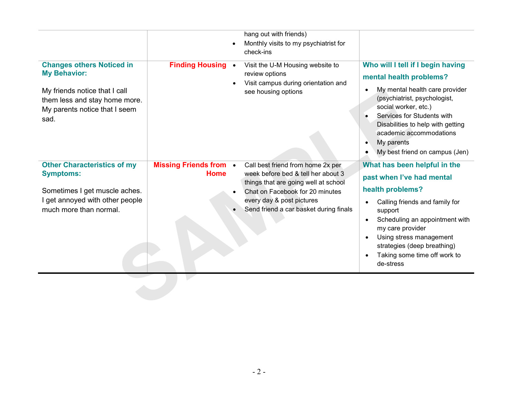|                                                                                                                                                                    |                                              | hang out with friends)<br>Monthly visits to my psychiatrist for<br>$\bullet$<br>check-ins                                                                                                                                 |                                                                                                                                                                                                                                                                                                      |
|--------------------------------------------------------------------------------------------------------------------------------------------------------------------|----------------------------------------------|---------------------------------------------------------------------------------------------------------------------------------------------------------------------------------------------------------------------------|------------------------------------------------------------------------------------------------------------------------------------------------------------------------------------------------------------------------------------------------------------------------------------------------------|
| <b>Changes others Noticed in</b><br><b>My Behavior:</b><br>My friends notice that I call<br>them less and stay home more.<br>My parents notice that I seem<br>sad. | <b>Finding Housing •</b>                     | Visit the U-M Housing website to<br>review options<br>Visit campus during orientation and<br>$\bullet$<br>see housing options                                                                                             | Who will I tell if I begin having<br>mental health problems?<br>My mental health care provider<br>(psychiatrist, psychologist,<br>social worker, etc.)<br>Services for Students with<br>Disabilities to help with getting<br>academic accommodations<br>My parents<br>My best friend on campus (Jen) |
| <b>Other Characteristics of my</b><br><b>Symptoms:</b><br>Sometimes I get muscle aches.<br>I get annoyed with other people<br>much more than normal.               | <b>Missing Friends from •</b><br><b>Home</b> | Call best friend from home 2x per<br>week before bed & tell her about 3<br>things that are going well at school<br>Chat on Facebook for 20 minutes<br>every day & post pictures<br>Send friend a car basket during finals | What has been helpful in the<br>past when I've had mental<br>health problems?<br>Calling friends and family for<br>support<br>Scheduling an appointment with<br>my care provider<br>Using stress management<br>$\bullet$<br>strategies (deep breathing)<br>Taking some time off work to<br>de-stress |

 $\triangledown$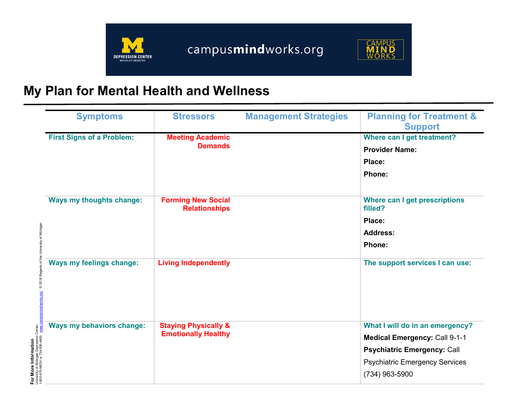



## **My Plan for Mental Health and Wellness**

| <b>Symptoms</b>                  | <b>Stressors</b>                                              | <b>Management Strategies</b>       | <b>Planning for Treatment &amp;</b><br><b>Support</b>                   |
|----------------------------------|---------------------------------------------------------------|------------------------------------|-------------------------------------------------------------------------|
| <b>First Signs of a Problem:</b> | <b>Meeting Academic</b><br><b>Demands</b>                     |                                    | Where can I get treatment?                                              |
|                                  |                                                               |                                    | <b>Provider Name:</b>                                                   |
|                                  |                                                               |                                    | Place:                                                                  |
|                                  |                                                               |                                    | <b>Phone:</b>                                                           |
| Ways my thoughts change:         | <b>Forming New Social</b><br><b>Relationships</b>             |                                    | Where can I get prescriptions<br>filled?                                |
|                                  |                                                               |                                    | Place:                                                                  |
|                                  |                                                               |                                    | <b>Address:</b>                                                         |
|                                  |                                                               |                                    | <b>Phone:</b>                                                           |
| Ways my feelings change:         | <b>Living Independently</b>                                   |                                    | The support services I can use:                                         |
| <b>Ways my behaviors change:</b> | <b>Staying Physically &amp;</b><br><b>Emotionally Healthy</b> |                                    | What I will do in an emergency?<br><b>Medical Emergency: Call 9-1-1</b> |
|                                  |                                                               | <b>Psychiatric Emergency: Call</b> |                                                                         |
|                                  |                                                               |                                    | <b>Psychiatric Emergency Services</b>                                   |
|                                  |                                                               |                                    | (734) 963-5900                                                          |